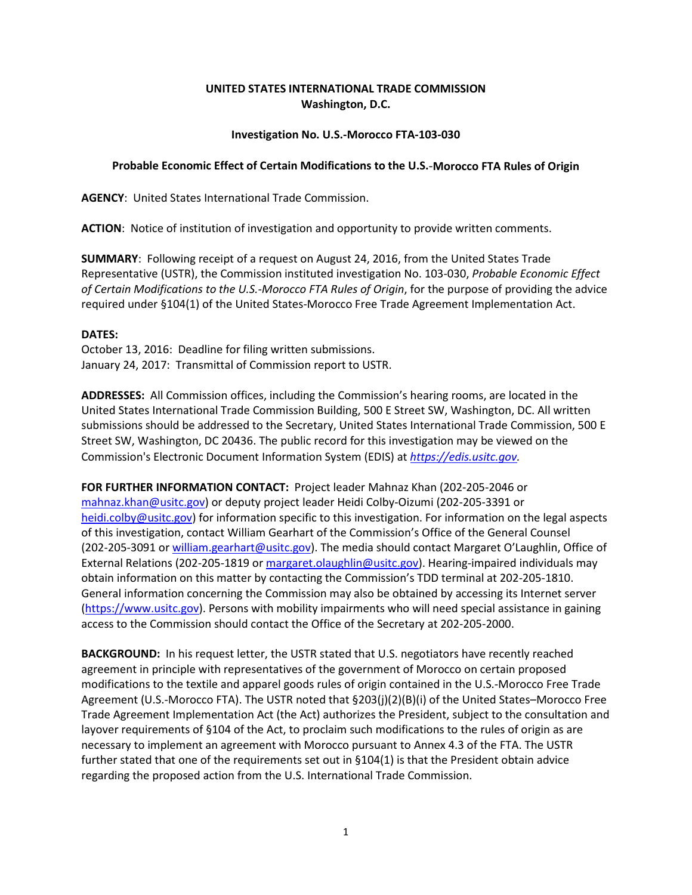## **UNITED STATES INTERNATIONAL TRADE COMMISSION Washington, D.C.**

## **Investigation No. U.S.-Morocco FTA-103-030**

## **Probable Economic Effect of Certain Modifications to the U.S.**-**Morocco FTA Rules of Origin**

**AGENCY**: United States International Trade Commission.

**ACTION**: Notice of institution of investigation and opportunity to provide written comments.

**SUMMARY**: Following receipt of a request on August 24, 2016, from the United States Trade Representative (USTR), the Commission instituted investigation No. 103-030, *Probable Economic Effect of Certain Modifications to the U.S.-Morocco FTA Rules of Origin*, for the purpose of providing the advice required under §104(1) of the United States-Morocco Free Trade Agreement Implementation Act.

## **DATES:**

October 13, 2016: Deadline for filing written submissions. January 24, 2017: Transmittal of Commission report to USTR.

**ADDRESSES:** All Commission offices, including the Commission's hearing rooms, are located in the United States International Trade Commission Building, 500 E Street SW, Washington, DC. All written submissions should be addressed to the Secretary, United States International Trade Commission, 500 E Street SW, Washington, DC 20436. The public record for this investigation may be viewed on the Commission's Electronic Document Information System (EDIS) at *[https://edis.usitc.gov.](https://edis.usitc.gov/)*

**FOR FURTHER INFORMATION CONTACT:** Project leader Mahnaz Khan (202-205-2046 or [mahnaz.khan@usitc.gov\)](mailto:mahnaz.khan@usitc.gov) or deputy project leader Heidi Colby-Oizumi (202-205-3391 or [heidi.colby@usitc.gov\)](mailto:heidi.colby@usitc.gov) for information specific to this investigation. For information on the legal aspects of this investigation, contact William Gearhart of the Commission's Office of the General Counsel (202-205-3091 o[r william.gearhart@usitc.gov\)](mailto:william.gearhart@usitc.gov). The media should contact Margaret O'Laughlin, Office of External Relations (202-205-1819 or margaret.olaughlin@usitc.gov). Hearing-impaired individuals may obtain information on this matter by contacting the Commission's TDD terminal at 202-205-1810. General information concerning the Commission may also be obtained by accessing its Internet server [\(https://www.usitc.gov\)](https://www.usitc.gov/). Persons with mobility impairments who will need special assistance in gaining access to the Commission should contact the Office of the Secretary at 202-205-2000.

**BACKGROUND:** In his request letter, the USTR stated that U.S. negotiators have recently reached agreement in principle with representatives of the government of Morocco on certain proposed modifications to the textile and apparel goods rules of origin contained in the U.S.-Morocco Free Trade Agreement (U.S.-Morocco FTA). The USTR noted that §203(j)(2)(B)(i) of the United States–Morocco Free Trade Agreement Implementation Act (the Act) authorizes the President, subject to the consultation and layover requirements of §104 of the Act, to proclaim such modifications to the rules of origin as are necessary to implement an agreement with Morocco pursuant to Annex 4.3 of the FTA. The USTR further stated that one of the requirements set out in §104(1) is that the President obtain advice regarding the proposed action from the U.S. International Trade Commission.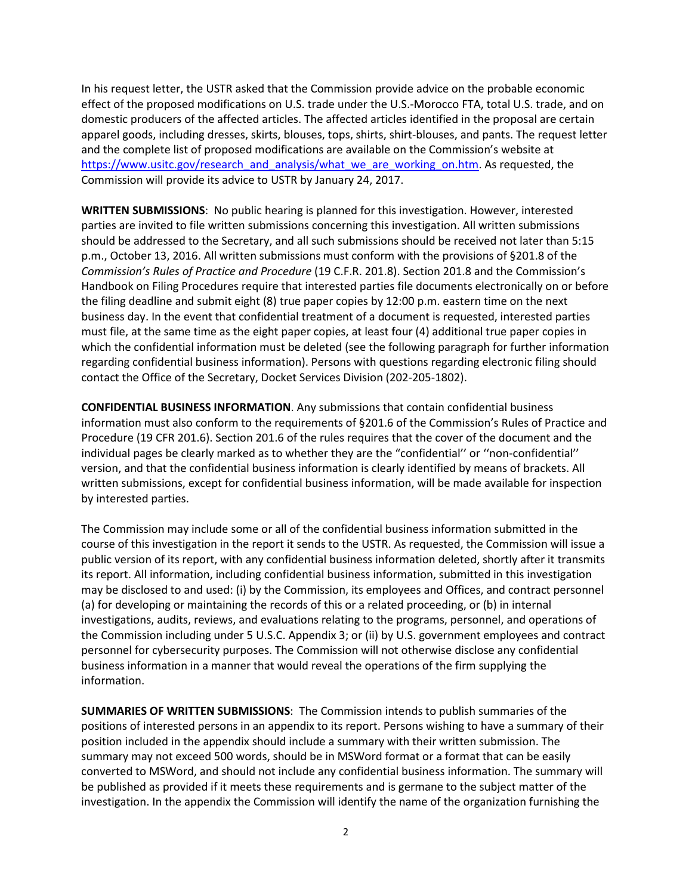In his request letter, the USTR asked that the Commission provide advice on the probable economic effect of the proposed modifications on U.S. trade under the U.S.-Morocco FTA, total U.S. trade, and on domestic producers of the affected articles. The affected articles identified in the proposal are certain apparel goods, including dresses, skirts, blouses, tops, shirts, shirt-blouses, and pants. The request letter and the complete list of proposed modifications are available on the Commission's website at [https://www.usitc.gov/research\\_and\\_analysis/what\\_we\\_are\\_working\\_on.htm.](https://www.usitc.gov/research_and_analysis/what_we_are_working_on.htm) As requested, the Commission will provide its advice to USTR by January 24, 2017.

**WRITTEN SUBMISSIONS**: No public hearing is planned for this investigation. However, interested parties are invited to file written submissions concerning this investigation. All written submissions should be addressed to the Secretary, and all such submissions should be received not later than 5:15 p.m., October 13, 2016. All written submissions must conform with the provisions of §201.8 of the *Commission's Rules of Practice and Procedure* (19 C.F.R. 201.8). Section 201.8 and the Commission's Handbook on Filing Procedures require that interested parties file documents electronically on or before the filing deadline and submit eight (8) true paper copies by 12:00 p.m. eastern time on the next business day. In the event that confidential treatment of a document is requested, interested parties must file, at the same time as the eight paper copies, at least four (4) additional true paper copies in which the confidential information must be deleted (see the following paragraph for further information regarding confidential business information). Persons with questions regarding electronic filing should contact the Office of the Secretary, Docket Services Division (202-205-1802).

**CONFIDENTIAL BUSINESS INFORMATION**. Any submissions that contain confidential business information must also conform to the requirements of §201.6 of the Commission's Rules of Practice and Procedure (19 CFR 201.6). Section 201.6 of the rules requires that the cover of the document and the individual pages be clearly marked as to whether they are the "confidential'' or ''non-confidential'' version, and that the confidential business information is clearly identified by means of brackets. All written submissions, except for confidential business information, will be made available for inspection by interested parties.

The Commission may include some or all of the confidential business information submitted in the course of this investigation in the report it sends to the USTR. As requested, the Commission will issue a public version of its report, with any confidential business information deleted, shortly after it transmits its report. All information, including confidential business information, submitted in this investigation may be disclosed to and used: (i) by the Commission, its employees and Offices, and contract personnel (a) for developing or maintaining the records of this or a related proceeding, or (b) in internal investigations, audits, reviews, and evaluations relating to the programs, personnel, and operations of the Commission including under 5 U.S.C. Appendix 3; or (ii) by U.S. government employees and contract personnel for cybersecurity purposes. The Commission will not otherwise disclose any confidential business information in a manner that would reveal the operations of the firm supplying the information.

**SUMMARIES OF WRITTEN SUBMISSIONS**: The Commission intends to publish summaries of the positions of interested persons in an appendix to its report. Persons wishing to have a summary of their position included in the appendix should include a summary with their written submission. The summary may not exceed 500 words, should be in MSWord format or a format that can be easily converted to MSWord, and should not include any confidential business information. The summary will be published as provided if it meets these requirements and is germane to the subject matter of the investigation. In the appendix the Commission will identify the name of the organization furnishing the